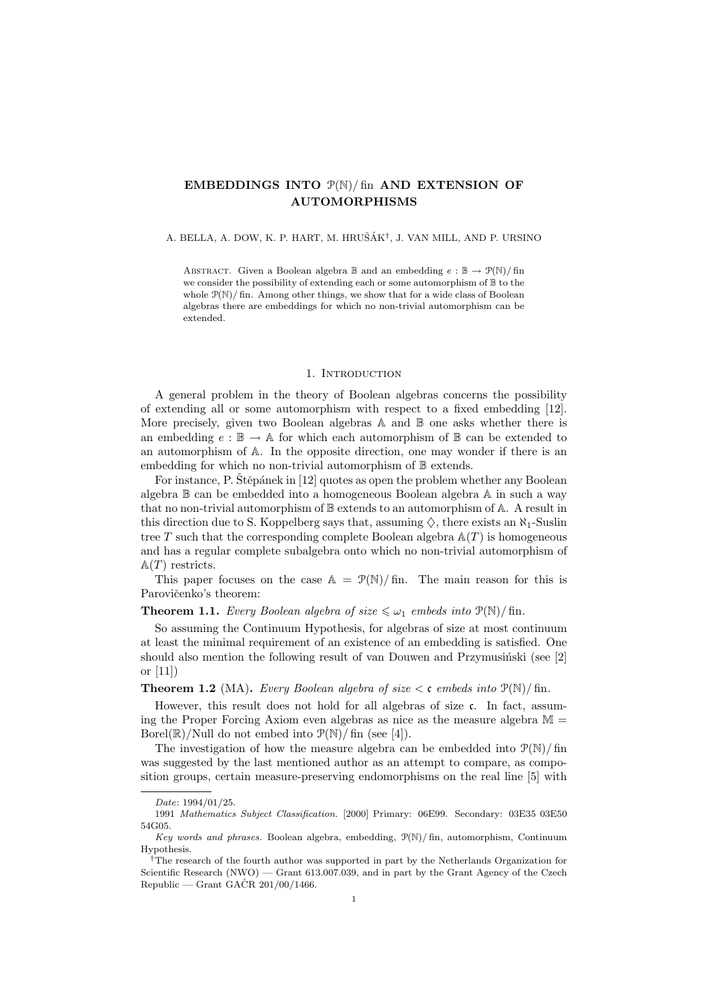# EMBEDDINGS INTO  $\mathcal{P}(\mathbb{N})$ / fin AND EXTENSION OF AUTOMORPHISMS

A. BELLA, A. DOW, K. P. HART, M. HRUŠÁK<sup>†</sup>, J. VAN MILL, AND P. URSINO

ABSTRACT. Given a Boolean algebra  $\mathbb B$  and an embedding  $e : \mathbb B \to \mathcal P(\mathbb N) / \text{fin}$ we consider the possibility of extending each or some automorphism of B to the whole  $P(N)/$  fin. Among other things, we show that for a wide class of Boolean algebras there are embeddings for which no non-trivial automorphism can be extended.

### 1. INTRODUCTION

A general problem in the theory of Boolean algebras concerns the possibility of extending all or some automorphism with respect to a fixed embedding [12]. More precisely, given two Boolean algebras A and B one asks whether there is an embedding  $e : \mathbb{B} \to \mathbb{A}$  for which each automorphism of  $\mathbb{B}$  can be extended to an automorphism of A. In the opposite direction, one may wonder if there is an embedding for which no non-trivial automorphism of  $\mathbb B$  extends.

For instance, P. Stěpánek in [12] quotes as open the problem whether any Boolean algebra B can be embedded into a homogeneous Boolean algebra A in such a way that no non-trivial automorphism of B extends to an automorphism of A. A result in this direction due to S. Koppelberg says that, assuming  $\diamondsuit$ , there exists an  $\aleph_1$ -Suslin tree T such that the corresponding complete Boolean algebra  $A(T)$  is homogeneous and has a regular complete subalgebra onto which no non-trivial automorphism of  $\mathbb{A}(T)$  restricts.

This paper focuses on the case  $A = \mathcal{P}(\mathbb{N})/\text{fin}$ . The main reason for this is Parovičenko's theorem:

## **Theorem 1.1.** Every Boolean algebra of size  $\leq \omega_1$  embeds into  $\mathcal{P}(\mathbb{N})$ / fin.

So assuming the Continuum Hypothesis, for algebras of size at most continuum at least the minimal requirement of an existence of an embedding is satisfied. One should also mention the following result of van Douwen and Przymusinski (see  $[2]$ or [11])

**Theorem 1.2** (MA). Every Boolean algebra of size  $\lt c$  embeds into  $\mathcal{P}(\mathbb{N})$ /fin.

However, this result does not hold for all algebras of size c. In fact, assuming the Proper Forcing Axiom even algebras as nice as the measure algebra  $M =$ Borel( $\mathbb{R}$ )/Null do not embed into  $\mathcal{P}(\mathbb{N})$ /fin (see [4]).

The investigation of how the measure algebra can be embedded into  $P(N)/\text{fin}$ was suggested by the last mentioned author as an attempt to compare, as composition groups, certain measure-preserving endomorphisms on the real line [5] with

Date: 1994/01/25.

<sup>1991</sup> Mathematics Subject Classification. [2000] Primary: 06E99. Secondary: 03E35 03E50 54G05.

Key words and phrases. Boolean algebra, embedding, P(N)/ fin, automorphism, Continuum Hypothesis.

<sup>†</sup>The research of the fourth author was supported in part by the Netherlands Organization for Scientific Research (NWO) — Grant 613.007.039, and in part by the Grant Agency of the Czech Republic — Grant GAČR  $201/00/1466$ .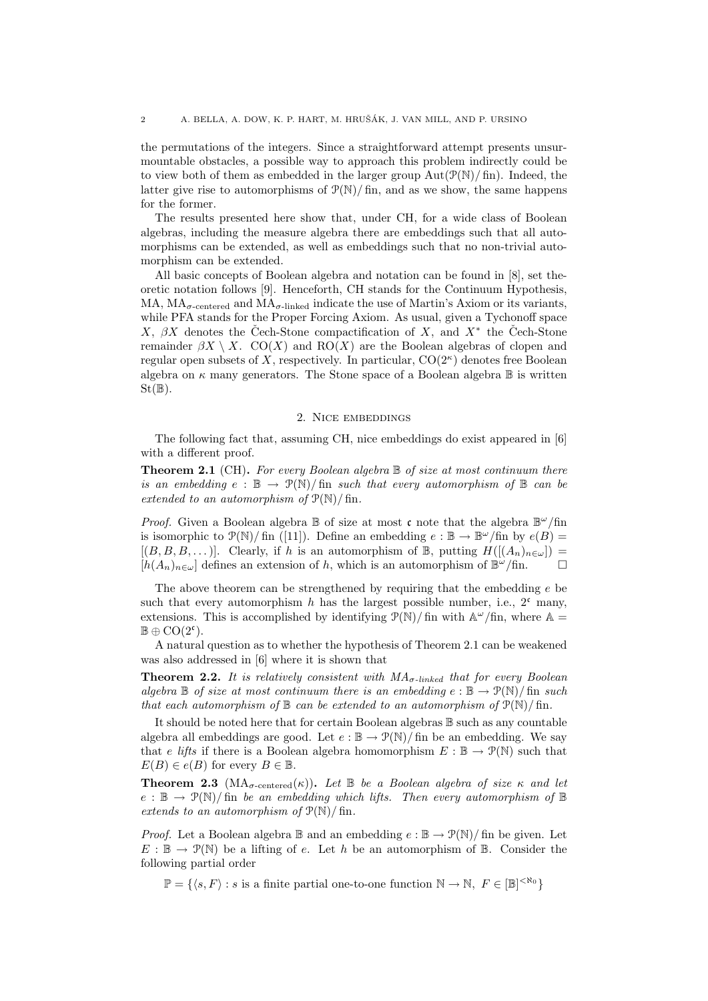the permutations of the integers. Since a straightforward attempt presents unsurmountable obstacles, a possible way to approach this problem indirectly could be to view both of them as embedded in the larger group  $Aut(\mathcal{P}(\mathbb{N})/\text{fin})$ . Indeed, the latter give rise to automorphisms of  $\mathcal{P}(\mathbb{N})$ / fin, and as we show, the same happens for the former.

The results presented here show that, under CH, for a wide class of Boolean algebras, including the measure algebra there are embeddings such that all automorphisms can be extended, as well as embeddings such that no non-trivial automorphism can be extended.

All basic concepts of Boolean algebra and notation can be found in [8], set theoretic notation follows [9]. Henceforth, CH stands for the Continuum Hypothesis, MA,  $MA_{\sigma\text{-centered}}$  and  $MA_{\sigma\text{-linked}}$  indicate the use of Martin's Axiom or its variants, while PFA stands for the Proper Forcing Axiom. As usual, given a Tychonoff space X,  $\beta X$  denotes the Cech-Stone compactification of X, and  $X^*$  the Cech-Stone remainder  $\beta X \setminus X$ . CO(X) and RO(X) are the Boolean algebras of clopen and regular open subsets of X, respectively. In particular,  $CO(2<sup>\kappa</sup>)$  denotes free Boolean algebra on  $\kappa$  many generators. The Stone space of a Boolean algebra  $\mathbb B$  is written  $St(\mathbb{B})$ .

### 2. Nice embeddings

The following fact that, assuming CH, nice embeddings do exist appeared in [6] with a different proof.

**Theorem 2.1** (CH). For every Boolean algebra  $\mathbb B$  of size at most continuum there is an embedding  $e : \mathbb{B} \to \mathcal{P}(\mathbb{N})$  fin such that every automorphism of  $\mathbb{B}$  can be extended to an automorphism of  $\mathcal{P}(\mathbb{N})$  fin.

*Proof.* Given a Boolean algebra  $\mathbb B$  of size at most c note that the algebra  $\mathbb B^{\omega}/\text{fin}$ is isomorphic to  $\mathcal{P}(\mathbb{N})$  fin ([11]). Define an embedding  $e : \mathbb{B} \to \mathbb{B}^{\omega}/\text{fin}$  by  $e(B) =$  $[(B, B, B, \dots)].$  Clearly, if h is an automorphism of B, putting  $H([A_n)_{n\in\omega})=$  $[h(A_n)_{n\in\omega}]$  defines an extension of h, which is an automorphism of  $\mathbb{B}^{\omega}/\text{fin}$ .

The above theorem can be strengthened by requiring that the embedding  $e$  be such that every automorphism h has the largest possible number, i.e.,  $2^c$  many, extensions. This is accomplished by identifying  $\mathcal{P}(\mathbb{N})$  fin with  $\mathbb{A}^{\omega}/\text{fin}$ , where  $\mathbb{A} =$  $\mathbb{B} \oplus \mathrm{CO}(2^{\mathfrak{c}}).$ 

A natural question as to whether the hypothesis of Theorem 2.1 can be weakened was also addressed in [6] where it is shown that

**Theorem 2.2.** It is relatively consistent with  $MA_{\sigma\text{-linked}}$  that for every Boolean algebra  $\mathbb B$  of size at most continuum there is an embedding  $e : \mathbb B \to \mathcal P(\mathbb N) / \text{fin}$  such that each automorphism of  $\mathbb B$  can be extended to an automorphism of  $\mathcal{P}(\mathbb N)/\mathbb{f}$ in.

It should be noted here that for certain Boolean algebras B such as any countable algebra all embeddings are good. Let  $e : \mathbb{B} \to \mathcal{P}(\mathbb{N})$  fin be an embedding. We say that e lifts if there is a Boolean algebra homomorphism  $E : \mathbb{B} \to \mathcal{P}(\mathbb{N})$  such that  $E(B) \in e(B)$  for every  $B \in \mathbb{B}$ .

**Theorem 2.3** ( $MA_{\sigma\text{-centered}}(\kappa)$ ). Let  $\mathbb{B}$  be a Boolean algebra of size  $\kappa$  and let  $e : \mathbb{B} \to \mathcal{P}(\mathbb{N})$  fin be an embedding which lifts. Then every automorphism of  $\mathbb{B}$ extends to an automorphism of  $\mathcal{P}(\mathbb{N})$  / fin.

*Proof.* Let a Boolean algebra  $\mathbb B$  and an embedding  $e : \mathbb B \to \mathcal P(\mathbb N) / \text{fin}$  be given. Let  $E : \mathbb{B} \to \mathcal{P}(\mathbb{N})$  be a lifting of e. Let h be an automorphism of  $\mathbb{B}$ . Consider the following partial order

 $\mathbb{P} = \{ \langle s, F \rangle : s \text{ is a finite partial one-to-one function } \mathbb{N} \to \mathbb{N}, F \in [\mathbb{B}]^{< \aleph_0} \}$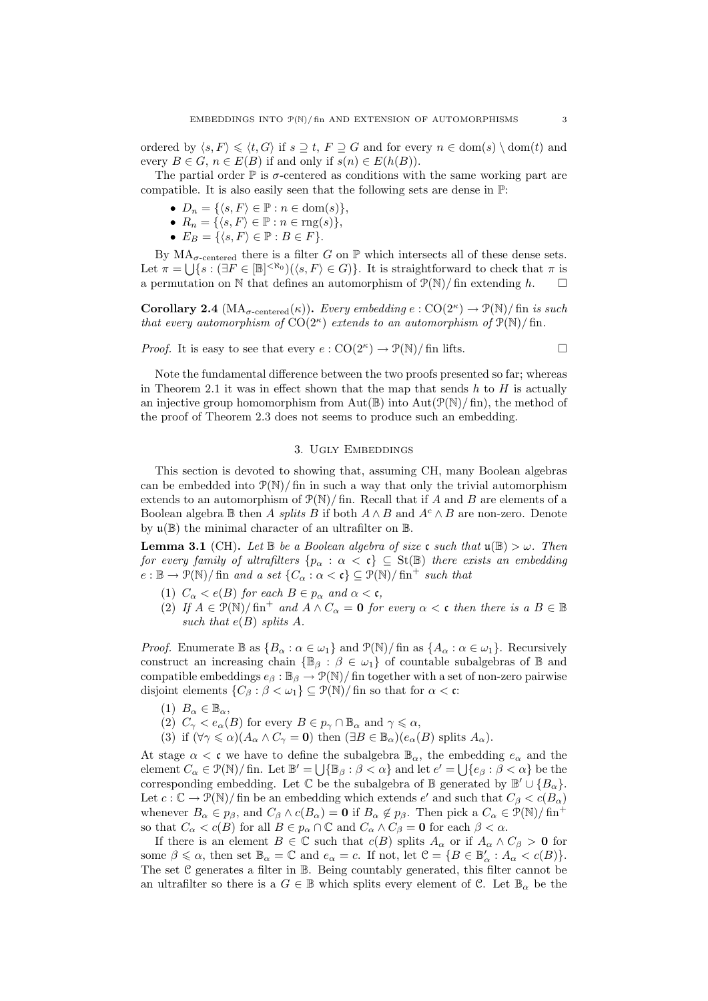ordered by  $\langle s, F \rangle \leq \langle t, G \rangle$  if  $s \supseteq t$ ,  $F \supseteq G$  and for every  $n \in \text{dom}(s) \setminus \text{dom}(t)$  and every  $B \in G$ ,  $n \in E(B)$  if and only if  $s(n) \in E(h(B))$ .

The partial order  $\mathbb P$  is  $\sigma$ -centered as conditions with the same working part are compatible. It is also easily seen that the following sets are dense in P:

- $D_n = \{ \langle s, F \rangle \in \mathbb{P} : n \in \text{dom}(s) \},\$
- $R_n = \{ \langle s, F \rangle \in \mathbb{P} : n \in \text{rng}(s) \},\$
- $E_B = \{ \langle s, F \rangle \in \mathbb{P} : B \in F \}.$

By  $MA_{\sigma\text{-centered}}$  there is a filter G on  $\mathbb P$  which intersects all of these dense sets. Let  $\pi = \bigcup \{ s : (\exists F \in [\mathbb{B}]^{< \aleph_0})(\langle s, F \rangle \in G) \}.$  It is straightforward to check that  $\pi$  is a permutation on N that defines an automorphism of  $\mathcal{P}(\mathbb{N})$ / fin extending h.

**Corollary 2.4**  $(MA_{\sigma\text{-centered}}(\kappa))$ . Every embedding  $e: \text{CO}(2^{\kappa}) \to \mathcal{P}(\mathbb{N})$  fin is such that every automorphism of  $CO(2^{\kappa})$  extends to an automorphism of  $\mathcal{P}(\mathbb{N})$ / fin.

*Proof.* It is easy to see that every  $e: \text{CO}(2^{\kappa}) \to \mathcal{P}(\mathbb{N})/$  fin lifts.

Note the fundamental difference between the two proofs presented so far; whereas in Theorem 2.1 it was in effect shown that the map that sends  $h$  to  $H$  is actually an injective group homomorphism from Aut( $\mathbb{B}$ ) into Aut( $\mathcal{P}(\mathbb{N})$ / fin), the method of the proof of Theorem 2.3 does not seems to produce such an embedding.

#### 3. UGLY EMBEDDINGS

This section is devoted to showing that, assuming CH, many Boolean algebras can be embedded into  $P(N)/$  fin in such a way that only the trivial automorphism extends to an automorphism of  $\mathcal{P}(\mathbb{N})$  fin. Recall that if A and B are elements of a Boolean algebra B then A splits B if both  $A \wedge B$  and  $A^c \wedge B$  are non-zero. Denote by  $\mathfrak{u}(\mathbb{B})$  the minimal character of an ultrafilter on  $\mathbb{B}$ .

**Lemma 3.1** (CH). Let  $\mathbb{B}$  be a Boolean algebra of size c such that  $\mathfrak{u}(\mathbb{B}) > \omega$ . Then for every family of ultrafilters  $\{p_\alpha : \alpha < \mathfrak{c}\}\subseteq \text{St}(\mathbb{B})$  there exists an embedding  $e : \mathbb{B} \to \mathcal{P}(\mathbb{N})$  fin and a set  $\{C_\alpha : \alpha < \mathfrak{c}\} \subseteq \mathcal{P}(\mathbb{N})$  fin<sup>+</sup> such that

- (1)  $C_{\alpha} < e(B)$  for each  $B \in p_{\alpha}$  and  $\alpha < \mathfrak{c}$ ,
- (2) If  $A \in \mathcal{P}(\mathbb{N})/\text{fin}^+$  and  $A \wedge C_\alpha = 0$  for every  $\alpha < \mathfrak{c}$  then there is a  $B \in \mathbb{B}$ such that  $e(B)$  splits A.

*Proof.* Enumerate  $\mathbb{B}$  as  $\{B_\alpha : \alpha \in \omega_1\}$  and  $\mathcal{P}(\mathbb{N})$  fin as  $\{A_\alpha : \alpha \in \omega_1\}$ . Recursively construct an increasing chain  $\{\mathbb{B}_{\beta}: \beta \in \omega_1\}$  of countable subalgebras of  $\mathbb B$  and compatible embeddings  $e_{\beta}: \mathbb{B}_{\beta} \to \mathcal{P}(\mathbb{N})/$  fin together with a set of non-zero pairwise disjoint elements  $\{C_\beta : \beta < \omega_1\} \subseteq \mathcal{P}(\mathbb{N})/\text{fin}$  so that for  $\alpha < \mathfrak{c}$ :

- (1)  $B_{\alpha} \in \mathbb{B}_{\alpha}$ ,
- (2)  $C_{\gamma} < e_{\alpha}(B)$  for every  $B \in p_{\gamma} \cap \mathbb{B}_{\alpha}$  and  $\gamma \leq \alpha$ ,
- (3) if  $(\forall \gamma \leq \alpha)(A_{\alpha} \wedge C_{\gamma} = \mathbf{0})$  then  $(\exists B \in \mathbb{B}_{\alpha})(e_{\alpha}(B))$  splits  $A_{\alpha}$ .

At stage  $\alpha < \mathfrak{c}$  we have to define the subalgebra  $\mathbb{B}_{\alpha}$ , the embedding  $e_{\alpha}$  and the element  $C_{\alpha} \in \mathcal{P}(\mathbb{N})$  fin. Let  $\mathbb{B}' = \bigcup \{\mathbb{B}_{\beta} : \beta < \alpha\}$  and let  $e' = \bigcup \{e_{\beta} : \beta < \alpha\}$  be the corresponding embedding. Let  $\mathbb C$  be the subalgebra of  $\mathbb B$  generated by  $\mathbb B' \cup \{B_\alpha\}$ . Let  $c: \mathbb{C} \to \mathcal{P}(\mathbb{N})/$  fin be an embedding which extends  $e'$  and such that  $C_\beta < c(B_\alpha)$ whenever  $B_{\alpha} \in p_{\beta}$ , and  $C_{\beta} \wedge c(B_{\alpha}) = 0$  if  $B_{\alpha} \notin p_{\beta}$ . Then pick a  $C_{\alpha} \in \mathcal{P}(\mathbb{N})/\text{fin}^+$ so that  $C_{\alpha} < c(B)$  for all  $B \in p_{\alpha} \cap \mathbb{C}$  and  $C_{\alpha} \wedge C_{\beta} = 0$  for each  $\beta < \alpha$ .

If there is an element  $B \in \mathbb{C}$  such that  $c(B)$  splits  $A_{\alpha}$  or if  $A_{\alpha} \wedge C_{\beta} > 0$  for some  $\beta \leq \alpha$ , then set  $\mathbb{B}_{\alpha} = \mathbb{C}$  and  $e_{\alpha} = c$ . If not, let  $\mathcal{C} = \{B \in \mathbb{B}'_{\alpha} : A_{\alpha} < c(B)\}.$ The set C generates a filter in B. Being countably generated, this filter cannot be an ultrafilter so there is a  $G \in \mathbb{B}$  which splits every element of C. Let  $\mathbb{B}_{\alpha}$  be the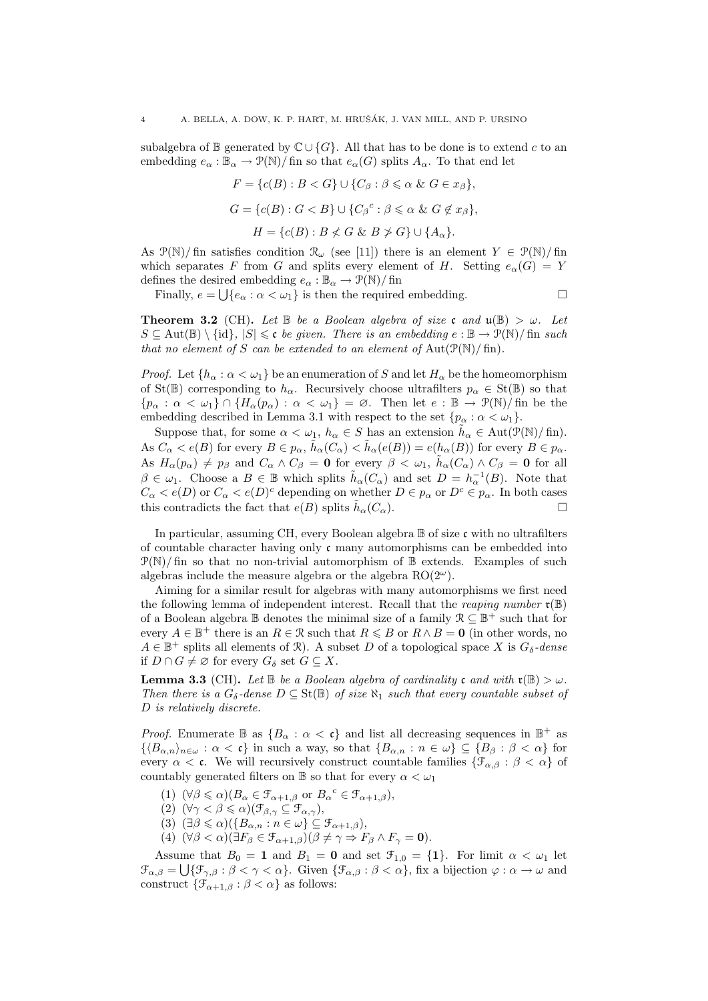subalgebra of B generated by  $\mathbb{C} \cup \{G\}$ . All that has to be done is to extend c to an embedding  $e_{\alpha} : \mathbb{B}_{\alpha} \to \mathcal{P}(\mathbb{N})/$  fin so that  $e_{\alpha}(G)$  splits  $A_{\alpha}$ . To that end let

$$
F = \{c(B) : B < G\} \cup \{C_\beta : \beta \le \alpha \& G \in x_\beta\},
$$
\n
$$
G = \{c(B) : G < B\} \cup \{C_\beta^c : \beta \le \alpha \& G \notin x_\beta\},
$$
\n
$$
H = \{c(B) : B \not\le G \& B \not\ge G\} \cup \{A_\alpha\}.
$$

As  $\mathcal{P}(\mathbb{N})$  fin satisfies condition  $\mathcal{R}_{\omega}$  (see [11]) there is an element  $Y \in \mathcal{P}(\mathbb{N})$  fin which separates F from G and splits every element of H. Setting  $e_{\alpha}(G) = Y$ defines the desired embedding  $e_{\alpha} : \mathbb{B}_{\alpha} \to \mathcal{P}(\mathbb{N})/ \operatorname{fin}$ 

Finally,  $e = \bigcup \{e_{\alpha} : \alpha < \omega_1\}$  is then the required embedding.

**Theorem 3.2** (CH). Let  $\mathbb B$  be a Boolean algebra of size c and  $\mathfrak{u}(\mathbb B) > \omega$ . Let  $S \subseteq \text{Aut}(\mathbb{B}) \setminus \{id\}, |S| \leq \mathfrak{c}$  be given. There is an embedding  $e : \mathbb{B} \to \mathcal{P}(\mathbb{N})/\text{fin such}$ that no element of S can be extended to an element of  $Aut(\mathcal{P}(\mathbb{N})/\operatorname{fin}).$ 

*Proof.* Let  $\{h_\alpha : \alpha < \omega_1\}$  be an enumeration of S and let  $H_\alpha$  be the homeomorphism of St( $\mathbb{B}$ ) corresponding to  $h_{\alpha}$ . Recursively choose ultrafilters  $p_{\alpha} \in \text{St}(\mathbb{B})$  so that  ${\rho_\alpha : \alpha < \omega_1} \cap {H_\alpha(\rho_\alpha) : \alpha < \omega_1} = \emptyset$ . Then let  $e : \mathbb{B} \to \mathcal{P}(\mathbb{N})/ \text{fin}$  be the embedding described in Lemma 3.1 with respect to the set  $\{p_{\alpha} : \alpha < \omega_1\}.$ 

Suppose that, for some  $\alpha < \omega_1$ ,  $h_\alpha \in S$  has an extension  $\tilde{h}_\alpha \in \text{Aut}(\mathcal{P}(\mathbb{N})/\text{fin})$ . As  $C_{\alpha} < e(B)$  for every  $B \in p_{\alpha}$ ,  $\tilde{h}_{\alpha}(C_{\alpha}) < \tilde{h}_{\alpha}(e(B)) = e(h_{\alpha}(B))$  for every  $B \in p_{\alpha}$ . As  $H_{\alpha}(p_{\alpha}) \neq p_{\beta}$  and  $C_{\alpha} \wedge C_{\beta} = 0$  for every  $\beta < \omega_1$ ,  $\tilde{h}_{\alpha}(C_{\alpha}) \wedge C_{\beta} = 0$  for all  $\beta \in \omega_1$ . Choose a  $B \in \mathbb{B}$  which splits  $\tilde{h}_\alpha(C_\alpha)$  and set  $D = h_\alpha^{-1}(B)$ . Note that  $C_{\alpha} < e(D)$  or  $C_{\alpha} < e(D)^c$  depending on whether  $D \in p_{\alpha}$  or  $D^c \in p_{\alpha}$ . In both cases this contradicts the fact that  $e(B)$  splits  $\tilde{h}_{\alpha}(C_{\alpha})$ .

In particular, assuming CH, every Boolean algebra  $\mathbb B$  of size c with no ultrafilters of countable character having only  $\mathfrak c$  many automorphisms can be embedded into  $\mathcal{P}(\mathbb{N})$  fin so that no non-trivial automorphism of  $\mathbb{B}$  extends. Examples of such algebras include the measure algebra or the algebra  $RO(2^{\omega})$ .

Aiming for a similar result for algebras with many automorphisms we first need the following lemma of independent interest. Recall that the *reaping number*  $\mathfrak{r}(\mathbb{B})$ of a Boolean algebra  $\mathbb B$  denotes the minimal size of a family  $\mathcal{R} \subseteq \mathbb B^+$  such that for every  $A \in \mathbb{B}^+$  there is an  $R \in \mathcal{R}$  such that  $R \leq B$  or  $R \wedge B = 0$  (in other words, no  $A \in \mathbb{B}^+$  splits all elements of  $\mathcal{R}$ ). A subset D of a topological space X is  $G_{\delta}$ -dense if  $D \cap G \neq \emptyset$  for every  $G_{\delta}$  set  $G \subseteq X$ .

**Lemma 3.3** (CH). Let  $\mathbb B$  be a Boolean algebra of cardinality c and with  $\mathfrak{r}(\mathbb B) > \omega$ . Then there is a  $G_{\delta}$ -dense  $D \subseteq St(\mathbb{B})$  of size  $\aleph_1$  such that every countable subset of D is relatively discrete.

*Proof.* Enumerate  $\mathbb{B}$  as  $\{B_\alpha : \alpha < \mathfrak{c}\}\$  and list all decreasing sequences in  $\mathbb{B}^+$  as  $\{\langle B_{\alpha,n}\rangle_{n\in\omega}: \alpha < \mathfrak{c}\}\$ in such a way, so that  $\{B_{\alpha,n}: n \in \omega\} \subseteq \{B_\beta: \beta < \alpha\}$  for every  $\alpha < \mathfrak{c}$ . We will recursively construct countable families  $\{\mathcal{F}_{\alpha,\beta} : \beta < \alpha\}$  of countably generated filters on  $\mathbb B$  so that for every  $\alpha < \omega_1$ 

- (1)  $(\forall \beta \leq \alpha)(B_{\alpha} \in \mathcal{F}_{\alpha+1,\beta} \text{ or } B_{\alpha}^c \in \mathcal{F}_{\alpha+1,\beta}),$
- (2)  $(\forall \gamma < \beta \leq \alpha)(\mathcal{F}_{\beta,\gamma} \subseteq \mathcal{F}_{\alpha,\gamma}),$
- (3)  $(\exists \beta \leq \alpha)(\{B_{\alpha,n} : n \in \omega\} \subseteq \mathcal{F}_{\alpha+1,\beta}),$
- (4)  $(\forall \beta < \alpha)(\exists F_{\beta} \in \mathcal{F}_{\alpha+1,\beta})(\beta \neq \gamma \Rightarrow F_{\beta} \wedge F_{\gamma} = \mathbf{0}).$

Assume that  $B_0 = 1$  and  $B_1 = 0$  and set  $\mathcal{F}_{1,0} = \{1\}$ . For limit  $\alpha < \omega_1$  let  $\mathcal{F}_{\alpha,\beta} = \bigcup \{ \mathcal{F}_{\gamma,\beta} : \beta < \gamma < \alpha \}.$  Given  $\{ \mathcal{F}_{\alpha,\beta} : \beta < \alpha \}.$  fix a bijection  $\varphi : \alpha \to \omega$  and construct  $\{\mathcal{F}_{\alpha+1,\beta} : \beta < \alpha\}$  as follows: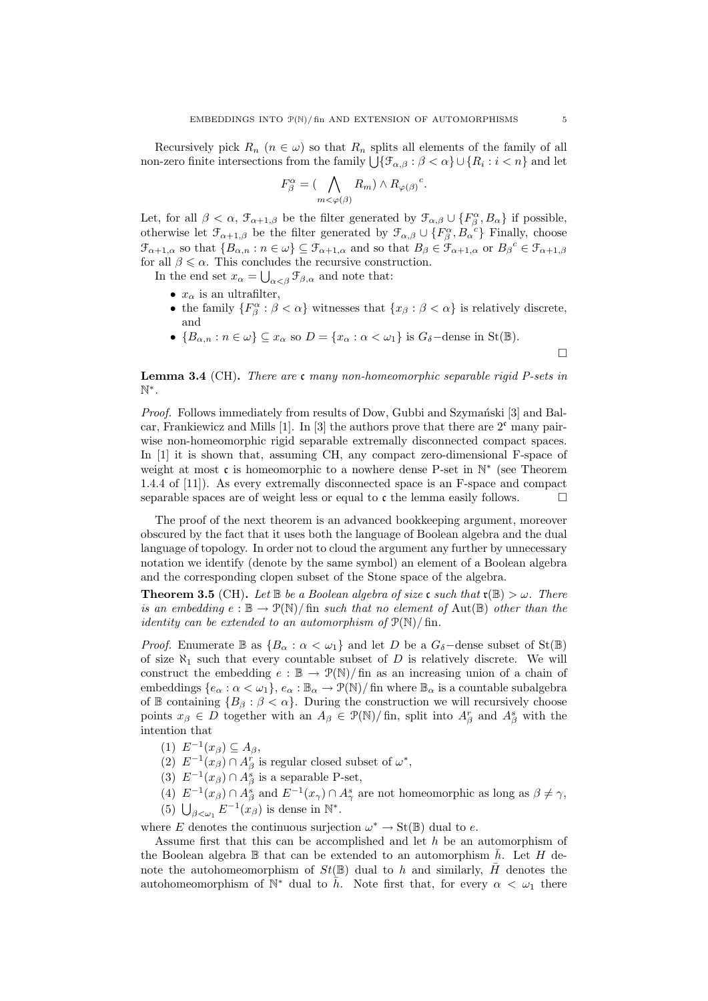Recursively pick  $R_n$  ( $n \in \omega$ ) so that  $R_n$  splits all elements of the family of all non-zero finite intersections from the family  $\bigcup \{\mathcal{F}_{\alpha,\beta} : \beta < \alpha\} \cup \{R_i : i < n\}$  and let

$$
F_{\beta}^{\alpha} = (\bigwedge_{m < \varphi(\beta)} R_m) \wedge R_{\varphi(\beta)}^{\ c}.
$$

Let, for all  $\beta < \alpha$ ,  $\mathcal{F}_{\alpha+1,\beta}$  be the filter generated by  $\mathcal{F}_{\alpha,\beta} \cup \{F_{\beta}^{\alpha}, B_{\alpha}\}\$  if possible, otherwise let  $\mathfrak{F}_{\alpha+1,\beta}$  be the filter generated by  $\mathfrak{F}_{\alpha,\beta}\cup\{F_\beta^\alpha,B_\alpha^{c_0}\}\$  Finally, choose  $\mathfrak{F}_{\alpha+1,\alpha}$  so that  $\{B_{\alpha,n}:n\in\omega\}\subseteq\mathfrak{F}_{\alpha+1,\alpha}$  and so that  $B_{\beta}\in\mathfrak{F}_{\alpha+1,\alpha}$  or  $B_{\beta}^c\in\mathfrak{F}_{\alpha+1,\beta}$ for all  $\beta \leq \alpha$ . This concludes the recursive construction.

In the end set  $x_{\alpha} = \bigcup_{\alpha < \beta} \mathcal{F}_{\beta,\alpha}$  and note that:

- $x_{\alpha}$  is an ultrafilter,
- the family  $\{F_\beta^\alpha : \beta < \alpha\}$  witnesses that  $\{x_\beta : \beta < \alpha\}$  is relatively discrete, and
- ${B_{\alpha,n} : n \in \omega} \subseteq x_\alpha$  so  $D = {x_\alpha : \alpha < \omega_1}$  is  $G_\delta$ -dense in St( $\mathbb{B}$ ).

**Lemma 3.4** (CH). There are c many non-homeomorphic separable rigid P-sets in N ∗ .

*Proof.* Follows immediately from results of Dow, Gubbi and Szymański  $[3]$  and Balcar, Frankiewicz and Mills [1]. In [3] the authors prove that there are  $2^c$  many pairwise non-homeomorphic rigid separable extremally disconnected compact spaces. In [1] it is shown that, assuming CH, any compact zero-dimensional F-space of weight at most  $\mathfrak c$  is homeomorphic to a nowhere dense P-set in  $\mathbb N^*$  (see Theorem 1.4.4 of [11]). As every extremally disconnected space is an F-space and compact separable spaces are of weight less or equal to  $\mathfrak c$  the lemma easily follows.

The proof of the next theorem is an advanced bookkeeping argument, moreover obscured by the fact that it uses both the language of Boolean algebra and the dual language of topology. In order not to cloud the argument any further by unnecessary notation we identify (denote by the same symbol) an element of a Boolean algebra and the corresponding clopen subset of the Stone space of the algebra.

**Theorem 3.5** (CH). Let  $\mathbb B$  be a Boolean algebra of size c such that  $\mathfrak{r}(\mathbb B) > \omega$ . There is an embedding  $e : \mathbb{B} \to \mathcal{P}(\mathbb{N})$  fin such that no element of Aut( $\mathbb{B}$ ) other than the *identity can be extended to an automorphism of*  $\mathcal{P}(\mathbb{N})$ / fin.

*Proof.* Enumerate  $\mathbb{B}$  as  $\{B_\alpha : \alpha < \omega_1\}$  and let D be a  $G_\delta$ -dense subset of St( $\mathbb{B}$ ) of size  $\aleph_1$  such that every countable subset of D is relatively discrete. We will construct the embedding  $e : \mathbb{B} \to \mathcal{P}(\mathbb{N})/\text{fin}$  as an increasing union of a chain of embeddings  $\{e_\alpha:\alpha<\omega_1\},\ e_\alpha:\mathbb{B}_\alpha\to\mathcal{P}(\mathbb{N})/\text{ fin where }\mathbb{B}_\alpha$  is a countable subalgebra of B containing  ${B_\beta : \beta < \alpha}$ . During the construction we will recursively choose points  $x_{\beta} \in D$  together with an  $A_{\beta} \in \mathcal{P}(\mathbb{N})/\text{fin}$ , split into  $A_{\beta}^r$  and  $A_{\beta}^s$  with the intention that

- (1)  $E^{-1}(x_\beta) \subseteq A_\beta$ ,
- (2)  $E^{-1}(x_\beta) \cap A_\beta^r$  is regular closed subset of  $\omega^*$ ,
- (3)  $E^{-1}(x_\beta) \cap A_\beta^s$  is a separable P-set,
- (4)  $E^{-1}(x_\beta) \cap A^s_\beta$  and  $E^{-1}(x_\gamma) \cap A^s_\gamma$  are not homeomorphic as long as  $\beta \neq \gamma$ , (5)  $\bigcup_{\beta<\omega_1} E^{-1}(x_\beta)$  is dense in  $\mathbb{N}^*$ .

where E denotes the continuous surjection  $\omega^* \to \text{St}(\mathbb{B})$  dual to e.

Assume first that this can be accomplished and let  $h$  be an automorphism of the Boolean algebra  $\mathbb B$  that can be extended to an automorphism  $\bar{h}$ . Let H denote the autohomeomorphism of  $St(\mathbb{B})$  dual to h and similarly, H denotes the autohomeomorphism of  $\mathbb{N}^*$  dual to  $\bar{h}$ . Note first that, for every  $\alpha < \omega_1$  there

 $\Box$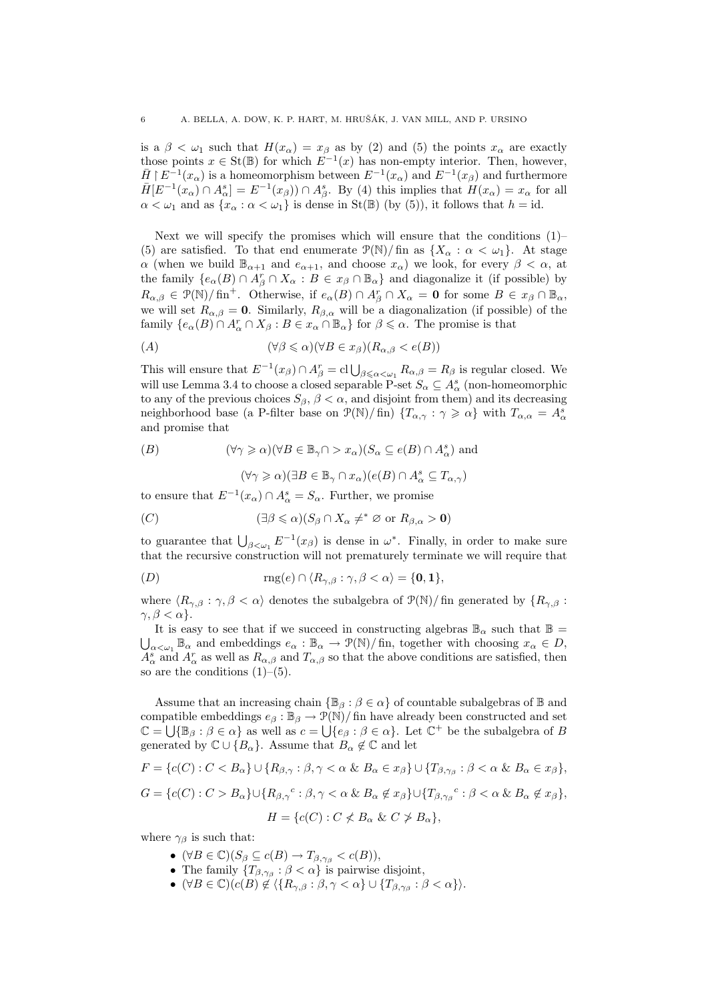is a  $\beta < \omega_1$  such that  $H(x_\alpha) = x_\beta$  as by (2) and (5) the points  $x_\alpha$  are exactly those points  $x \in \text{St}(\mathbb{B})$  for which  $E^{-1}(x)$  has non-empty interior. Then, however,  $\bar{H} \restriction E^{-1}(x_\alpha)$  is a homeomorphism between  $E^{-1}(x_\alpha)$  and  $E^{-1}(x_\beta)$  and furthermore  $\bar{H}[E^{-1}(x_{\alpha}) \cap A_{\alpha}^{s}] = E^{-1}(x_{\beta}) \cap A_{\beta}^{s}$ . By (4) this implies that  $H(x_{\alpha}) = x_{\alpha}$  for all  $\alpha < \omega_1$  and as  $\{x_\alpha : \alpha < \omega_1\}$  is dense in St(B) (by (5)), it follows that  $h = id$ .

Next we will specify the promises which will ensure that the conditions (1)– (5) are satisfied. To that end enumerate  $\mathcal{P}(\mathbb{N})$  fin as  $\{X_\alpha : \alpha < \omega_1\}$ . At stage  $\alpha$  (when we build  $\mathbb{B}_{\alpha+1}$  and  $e_{\alpha+1}$ , and choose  $x_{\alpha}$ ) we look, for every  $\beta < \alpha$ , at the family  $\{e_{\alpha}(B) \cap A_{\beta}^r \cap X_{\alpha} : B \in x_{\beta} \cap \mathbb{B}_{\alpha}\}\$ and diagonalize it (if possible) by  $R_{\alpha,\beta} \in \mathcal{P}(\mathbb{N})/\mathfrak{fin}^+$ . Otherwise, if  $e_\alpha(B) \cap A_\beta^r \cap X_\alpha = \mathbf{0}$  for some  $B \in x_\beta \cap \mathbb{B}_\alpha$ , we will set  $R_{\alpha,\beta} = 0$ . Similarly,  $R_{\beta,\alpha}$  will be a diagonalization (if possible) of the family  $\{e_{\alpha}(B) \cap A_{\alpha}^r \cap X_{\beta} : B \in x_{\alpha} \cap \mathbb{B}_{\alpha}\}\$ for  $\beta \leq \alpha$ . The promise is that

$$
(A) \qquad (\forall \beta \leq \alpha)(\forall B \in x_{\beta})(R_{\alpha,\beta} < e(B))
$$

This will ensure that  $E^{-1}(x_\beta) \cap A_\beta^r = \text{cl}\bigcup_{\beta \leq \alpha < \omega_1} R_{\alpha,\beta} = R_\beta$  is regular closed. We will use Lemma 3.4 to choose a closed separable P-set  $S_{\alpha} \subseteq A_{\alpha}^s$  (non-homeomorphic to any of the previous choices  $S_\beta$ ,  $\beta < \alpha$ , and disjoint from them) and its decreasing neighborhood base (a P-filter base on  $\mathcal{P}(\mathbb{N})/\text{fin}$ )  $\{T_{\alpha,\gamma}:\gamma\geqslant\alpha\}$  with  $T_{\alpha,\alpha}=A^s_\alpha$ and promise that

$$
(B) \qquad (\forall \gamma \geqslant \alpha)(\forall B \in \mathbb{B}_{\gamma} \cap > x_{\alpha})(S_{\alpha} \subseteq e(B) \cap A_{\alpha}^{s}) \text{ and}
$$

$$
(\forall \gamma \geqslant \alpha)(\exists B \in \mathbb{B}_{\gamma} \cap x_{\alpha})(e(B) \cap A_{\alpha}^{s} \subseteq T_{\alpha,\gamma})
$$

to ensure that  $E^{-1}(x_\alpha) \cap A^s_\alpha = S_\alpha$ . Further, we promise

$$
(C) \qquad (\exists \beta \leq \alpha)(S_{\beta} \cap X_{\alpha} \neq^* \varnothing \text{ or } R_{\beta,\alpha} > 0)
$$

to guarantee that  $\bigcup_{\beta<\omega_1} E^{-1}(x_\beta)$  is dense in  $\omega^*$ . Finally, in order to make sure that the recursive construction will not prematurely terminate we will require that

$$
(D) \t\t\t\t\mathbf{rng}(e) \cap \langle R_{\gamma,\beta} : \gamma, \beta < \alpha \rangle = \{0,1\},\
$$

where  $\langle R_{\gamma,\beta} : \gamma, \beta \langle \alpha \rangle$  denotes the subalgebra of  $\mathcal{P}(\mathbb{N})$ / fin generated by  $\{R_{\gamma,\beta} : \gamma, \beta \langle \alpha \rangle\}$  $\gamma, \beta < \alpha$ .

It is easy to see that if we succeed in constructing algebras  $\mathbb{B}_{\alpha}$  such that  $\mathbb{B} =$  $\bigcup_{\alpha<\omega_1}\mathbb{B}_\alpha$  and embeddings  $e_\alpha:\mathbb{B}_\alpha\to\mathcal{P}(\mathbb{N})/\text{fin}$ , together with choosing  $x_\alpha\in D$ ,  $A_\alpha^s$  and  $A_\alpha^r$  as well as  $R_{\alpha,\beta}$  and  $T_{\alpha,\beta}$  so that the above conditions are satisfied, then so are the conditions  $(1)$ – $(5)$ .

Assume that an increasing chain  $\{\mathbb{B}_{\beta} : \beta \in \alpha\}$  of countable subalgebras of  $\mathbb{B}$  and compatible embeddings  $e_{\beta}: \mathbb{B}_{\beta} \to \mathcal{P}(\mathbb{N})/$  fin have already been constructed and set  $\mathbb{C} = \bigcup \{\mathbb{B}_{\beta} : \beta \in \alpha\}$  as well as  $c = \bigcup \{e_{\beta} : \beta \in \alpha\}$ . Let  $\mathbb{C}^+$  be the subalgebra of B generated by  $\mathbb{C} \cup \{B_{\alpha}\}\$ . Assume that  $B_{\alpha} \notin \mathbb{C}$  and let

$$
F = \{c(C) : C < B_{\alpha}\} \cup \{R_{\beta,\gamma} : \beta, \gamma < \alpha \& B_{\alpha} \in x_{\beta}\} \cup \{T_{\beta,\gamma_{\beta}} : \beta < \alpha \& B_{\alpha} \in x_{\beta}\},
$$
\n
$$
G = \{c(C) : C > B_{\alpha}\} \cup \{R_{\beta,\gamma}^c : \beta, \gamma < \alpha \& B_{\alpha} \notin x_{\beta}\} \cup \{T_{\beta,\gamma_{\beta}}^c : \beta < \alpha \& B_{\alpha} \notin x_{\beta}\},
$$
\n
$$
H = \{c(C) : C \notlt B_{\alpha} \& C \notgt B_{\alpha}\},
$$

where  $\gamma_\beta$  is such that:

- $(\forall B \in \mathbb{C})(S_{\beta} \subseteq c(B) \rightarrow T_{\beta, \gamma_{\beta}} < c(B)),$
- The family  $\{T_{\beta,\gamma_{\beta}} : \beta < \alpha\}$  is pairwise disjoint,
- $(\forall B \in \mathbb{C}) (c(B) \notin \langle \{R_{\gamma,\beta} : \beta, \gamma < \alpha\} \cup \{T_{\beta,\gamma_{\beta}} : \beta < \alpha\} \rangle.$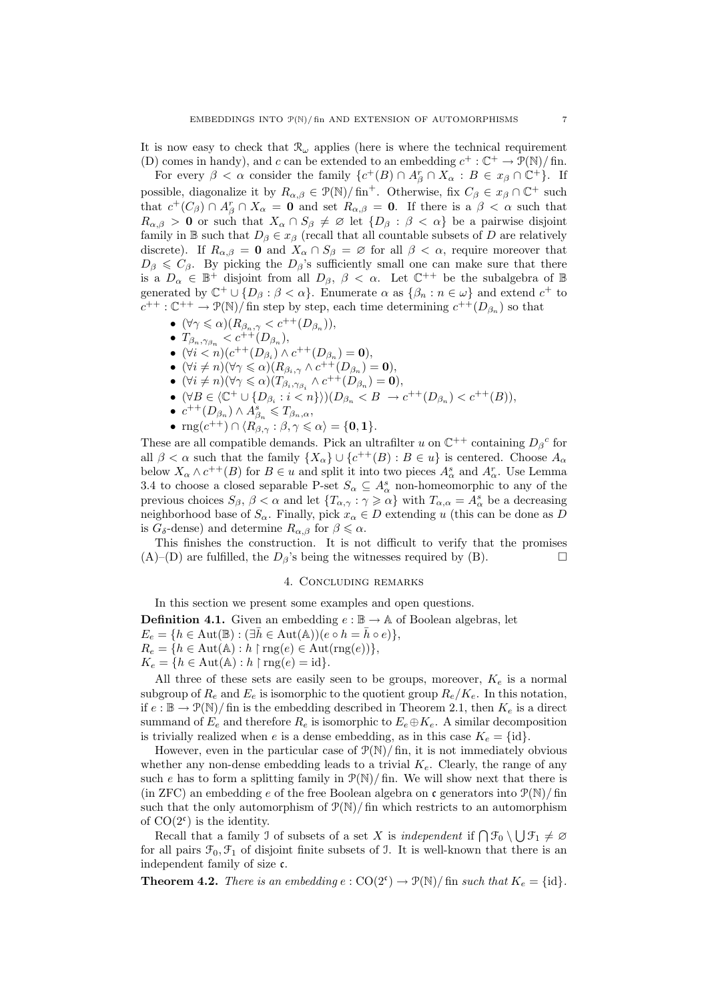It is now easy to check that  $\mathcal{R}_{\omega}$  applies (here is where the technical requirement (D) comes in handy), and c can be extended to an embedding  $c^+ : \mathbb{C}^+ \to \mathcal{P}(\mathbb{N})$  fin.

For every  $\beta < \alpha$  consider the family  $\{c^+(B) \cap A_{\beta}^r \cap X_{\alpha} : B \in x_{\beta} \cap C^+\}$ . If possible, diagonalize it by  $R_{\alpha,\beta} \in \mathcal{P}(\mathbb{N})/\text{fin}^+$ . Otherwise, fix  $C_{\beta} \in x_{\beta} \cap \mathbb{C}^+$  such that  $c^+(C_\beta) \cap A_\beta^r \cap X_\alpha = 0$  and set  $R_{\alpha,\beta} = 0$ . If there is a  $\beta < \alpha$  such that  $R_{\alpha,\beta} > 0$  or such that  $X_{\alpha} \cap S_{\beta} \neq \emptyset$  let  $\{D_{\beta} : \beta < \alpha\}$  be a pairwise disjoint family in B such that  $D_\beta \in x_\beta$  (recall that all countable subsets of D are relatively discrete). If  $R_{\alpha,\beta} = 0$  and  $X_\alpha \cap S_\beta = \emptyset$  for all  $\beta < \alpha$ , require moreover that  $D_{\beta} \leq C_{\beta}$ . By picking the  $D_{\beta}$ 's sufficiently small one can make sure that there is a  $D_{\alpha} \in \mathbb{B}^+$  disjoint from all  $D_{\beta}$ ,  $\beta < \alpha$ . Let  $\mathbb{C}^{++}$  be the subalgebra of  $\mathbb{B}$ generated by  $\mathbb{C}^+ \cup \{D_\beta : \beta < \alpha\}$ . Enumerate  $\alpha$  as  $\{\beta_n : n \in \omega\}$  and extend  $c^+$  to  $c^{++}$ :  $\mathbb{C}^{++} \to \mathcal{P}(\mathbb{N})$  fin step by step, each time determining  $c^{++}(D_{\beta_n})$  so that

- $(\forall \gamma \leq \alpha)(R_{\beta_n,\gamma} < c^{++}(D_{\beta_n})),$
- $T_{\beta_n, \gamma_{\beta_n}} < c^{++}(D_{\beta_n}),$
- $(\forall i < n)(c^{++}(D_{\beta_i}) \wedge c^{++}(D_{\beta_n}) = 0),$
- $(\forall i \neq n)(\forall \gamma \leq \alpha)(R_{\beta_i,\gamma} \wedge c^{++}(D_{\beta_n})=0),$
- $(\forall i \neq n)(\forall \gamma \leq \alpha)(T_{\beta_i, \gamma_{\beta_i}} \wedge c^{++}(D_{\beta_n}) = 0),$
- $(\forall B \in \langle \mathbb{C}^+ \cup \{D_{\beta_i} : i < n\} \rangle)(D_{\beta_n} < B \rightarrow c^{++}(D_{\beta_n}) < c^{++}(B)),$
- $c^{++}(D_{\beta_n}) \wedge A_{\beta_n}^s \leqslant T_{\beta_n,\alpha},$
- $\text{rng}(c^{++}) \cap \langle R_{\beta,\gamma} \,:\, \beta, \gamma \leqslant \alpha \rangle = \{0,1\}.$

These are all compatible demands. Pick an ultrafilter u on  $\mathbb{C}^{++}$  containing  $D_{\beta}{}^c$  for all  $\beta < \alpha$  such that the family  $\{X_{\alpha}\}\cup \{c^{++}(B): B \in u\}$  is centered. Choose  $A_{\alpha}$ below  $X_{\alpha} \wedge c^{++}(B)$  for  $B \in u$  and split it into two pieces  $A_{\alpha}^s$  and  $A_{\alpha}^r$ . Use Lemma 3.4 to choose a closed separable P-set  $S_{\alpha} \subseteq A_{\alpha}^s$  non-homeomorphic to any of the previous choices  $S_{\beta}$ ,  $\beta < \alpha$  and let  $\{T_{\alpha,\gamma} : \gamma \geqslant \alpha\}$  with  $T_{\alpha,\alpha} = A_{\alpha}^{s}$  be a decreasing neighborhood base of  $S_\alpha$ . Finally, pick  $x_\alpha \in D$  extending u (this can be done as D is  $G_{\delta}$ -dense) and determine  $R_{\alpha,\beta}$  for  $\beta \leq \alpha$ .

This finishes the construction. It is not difficult to verify that the promises  $(A)$ –(D) are fulfilled, the  $D_6$ 's being the witnesses required by (B).

#### 4. Concluding remarks

In this section we present some examples and open questions. **Definition 4.1.** Given an embedding  $e : \mathbb{B} \to \mathbb{A}$  of Boolean algebras, let  $E_e = \{h \in \text{Aut}(\mathbb{B}) : (\exists \bar{h} \in \text{Aut}(\mathbb{A})) (e \circ h = \bar{h} \circ e) \},\$  $R_e = \{h \in \text{Aut}(\mathbb{A}) : h \restriction \text{rng}(e) \in \text{Aut}(\text{rng}(e))\},\$  $K_e = \{h \in \text{Aut}(\mathbb{A}) : h \upharpoonright \text{rng}(e) = \text{id}\}.$ 

All three of these sets are easily seen to be groups, moreover,  $K_e$  is a normal subgroup of  $R_e$  and  $E_e$  is isomorphic to the quotient group  $R_e/K_e$ . In this notation, if  $e : \mathbb{B} \to \mathcal{P}(\mathbb{N})$  fin is the embedding described in Theorem 2.1, then  $K_e$  is a direct summand of  $E_e$  and therefore  $R_e$  is isomorphic to  $E_e \oplus K_e$ . A similar decomposition is trivially realized when e is a dense embedding, as in this case  $K_e = \{\text{id}\}.$ 

However, even in the particular case of  $\mathcal{P}(\mathbb{N})$  fin, it is not immediately obvious whether any non-dense embedding leads to a trivial  $K_e$ . Clearly, the range of any such e has to form a splitting family in  $\mathcal{P}(\mathbb{N})$  fin. We will show next that there is (in ZFC) an embedding e of the free Boolean algebra on c generators into  $\mathcal{P}(\mathbb{N})$ / fin such that the only automorphism of  $\mathcal{P}(\mathbb{N})$  fin which restricts to an automorphism of  $CO(2^c)$  is the identity.

Recall that a family J of subsets of a set X is independent if  $\bigcap \mathcal{F}_0 \setminus \bigcup \mathcal{F}_1 \neq \emptyset$ for all pairs  $\mathcal{F}_0, \mathcal{F}_1$  of disjoint finite subsets of J. It is well-known that there is an independent family of size c.

**Theorem 4.2.** There is an embedding  $e: CO(2^c) \to \mathcal{P}(\mathbb{N})$  fin such that  $K_e = \{id\}$ .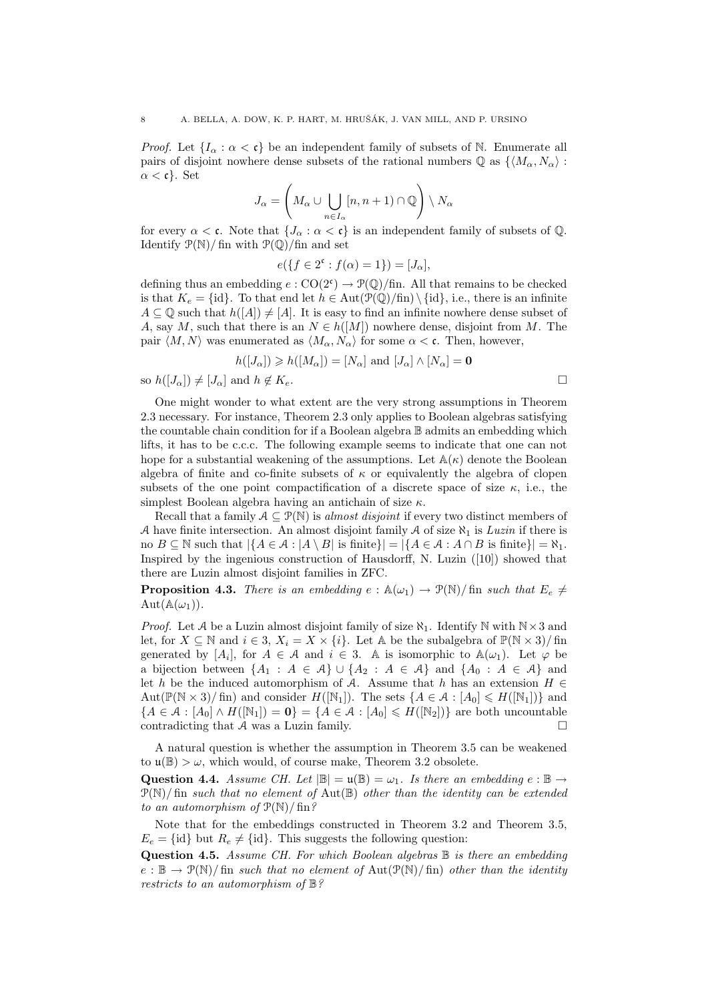*Proof.* Let  $\{I_\alpha : \alpha < \mathfrak{c}\}\$  be an independent family of subsets of N. Enumerate all pairs of disjoint nowhere dense subsets of the rational numbers  $\mathbb{Q}$  as  $\{M_{\alpha}, N_{\alpha}\}\$ :  $\alpha < \mathfrak{c}$ . Set

$$
J_{\alpha} = \left( M_{\alpha} \cup \bigcup_{n \in I_{\alpha}} [n, n+1) \cap \mathbb{Q} \right) \setminus N_{\alpha}
$$

for every  $\alpha < \mathfrak{c}$ . Note that  $\{J_{\alpha} : \alpha < \mathfrak{c}\}\)$  is an independent family of subsets of  $\mathbb{Q}$ . Identify  $\mathcal{P}(\mathbb{N})$  fin with  $\mathcal{P}(\mathbb{Q})$  fin and set

$$
e({f \in 2^{\mathfrak{c}} : f(\alpha) = 1}) = [J_{\alpha}],
$$

defining thus an embedding  $e: CO(2^c) \to \mathcal{P}(\mathbb{Q})/\text{fin}$ . All that remains to be checked is that  $K_e = \{id\}$ . To that end let  $h \in Aut(\mathcal{P}(\mathbb{Q})/fin) \setminus \{id\}$ , i.e., there is an infinite  $A \subseteq \mathbb{Q}$  such that  $h([A]) \neq [A]$ . It is easy to find an infinite nowhere dense subset of A, say M, such that there is an  $N \in h([M])$  nowhere dense, disjoint from M. The pair  $\langle M, N \rangle$  was enumerated as  $\langle M_\alpha, N_\alpha \rangle$  for some  $\alpha < \mathfrak{c}$ . Then, however,

$$
h([J_{\alpha}]) \geqslant h([M_{\alpha}]) = [N_{\alpha}] \text{ and } [J_{\alpha}] \wedge [N_{\alpha}] = \mathbf{0}
$$

so  $h([J_{\alpha}]) \neq [J_{\alpha}]$  and  $h \notin K_e$ .

One might wonder to what extent are the very strong assumptions in Theorem 2.3 necessary. For instance, Theorem 2.3 only applies to Boolean algebras satisfying the countable chain condition for if a Boolean algebra B admits an embedding which lifts, it has to be c.c.c. The following example seems to indicate that one can not hope for a substantial weakening of the assumptions. Let  $\mathbb{A}(\kappa)$  denote the Boolean algebra of finite and co-finite subsets of  $\kappa$  or equivalently the algebra of clopen subsets of the one point compactification of a discrete space of size  $\kappa$ , i.e., the simplest Boolean algebra having an antichain of size  $\kappa$ .

Recall that a family  $A \subseteq \mathcal{P}(\mathbb{N})$  is *almost disjoint* if every two distinct members of A have finite intersection. An almost disjoint family A of size  $\aleph_1$  is Luzin if there is no  $B \subseteq \mathbb{N}$  such that  $|\{A \in \mathcal{A} : |A \setminus B| \text{ is finite}\}| = |\{A \in \mathcal{A} : A \cap B \text{ is finite}\}| = \aleph_1$ . Inspired by the ingenious construction of Hausdorff, N. Luzin ([10]) showed that there are Luzin almost disjoint families in ZFC.

**Proposition 4.3.** There is an embedding  $e : A(\omega_1) \to \mathcal{P}(\mathbb{N})$  fin such that  $E_e \neq$  $Aut(\mathbb{A}(\omega_1)).$ 

*Proof.* Let A be a Luzin almost disjoint family of size  $\aleph_1$ . Identify N with  $N \times 3$  and let, for  $X \subseteq \mathbb{N}$  and  $i \in 3$ ,  $X_i = X \times \{i\}$ . Let A be the subalgebra of  $\mathbb{P}(\mathbb{N} \times 3)$ / fin generated by  $[A_i]$ , for  $A \in \mathcal{A}$  and  $i \in \mathcal{B}$ . A is isomorphic to  $\mathbb{A}(\omega_1)$ . Let  $\varphi$  be a bijection between  $\{A_1 : A \in \mathcal{A}\} \cup \{A_2 : A \in \mathcal{A}\}\$ and  $\{A_0 : A \in \mathcal{A}\}\$ and let h be the induced automorphism of A. Assume that h has an extension  $H \in$ Aut $(\mathbb{P}(\mathbb{N} \times 3)/\text{fin})$  and consider  $H([\mathbb{N}_1])$ . The sets  $\{A \in \mathcal{A} : [A_0] \le H([\mathbb{N}_1])\}$  and  ${A \in \mathcal{A} : [A_0] \wedge H([N_1]) = 0} = {A \in \mathcal{A} : [A_0] \leq H([N_2])}$  are both uncountable contradicting that A was a Luzin family.  $\square$ 

A natural question is whether the assumption in Theorem 3.5 can be weakened to  $\mathfrak{u}(\mathbb{B}) > \omega$ , which would, of course make, Theorem 3.2 obsolete.

Question 4.4. Assume CH. Let  $|\mathbb{B}| = \mathfrak{u}(\mathbb{B}) = \omega_1$ . Is there an embedding  $e : \mathbb{B} \to$  $\mathcal{P}(\mathbb{N})$ / fin such that no element of Aut $(\mathbb{B})$  other than the identity can be extended to an automorphism of  $P(N)/\operatorname{fin}$ ?

Note that for the embeddings constructed in Theorem 3.2 and Theorem 3.5,  $E_e = \{id\}$  but  $R_e \neq \{id\}$ . This suggests the following question:

**Question 4.5.** Assume CH. For which Boolean algebras  $\mathbb B$  is there an embedding  $e : \mathbb{B} \to \mathcal{P}(\mathbb{N})$  fin such that no element of  $\text{Aut}(\mathcal{P}(\mathbb{N})$  fin) other than the identity restricts to an automorphism of B?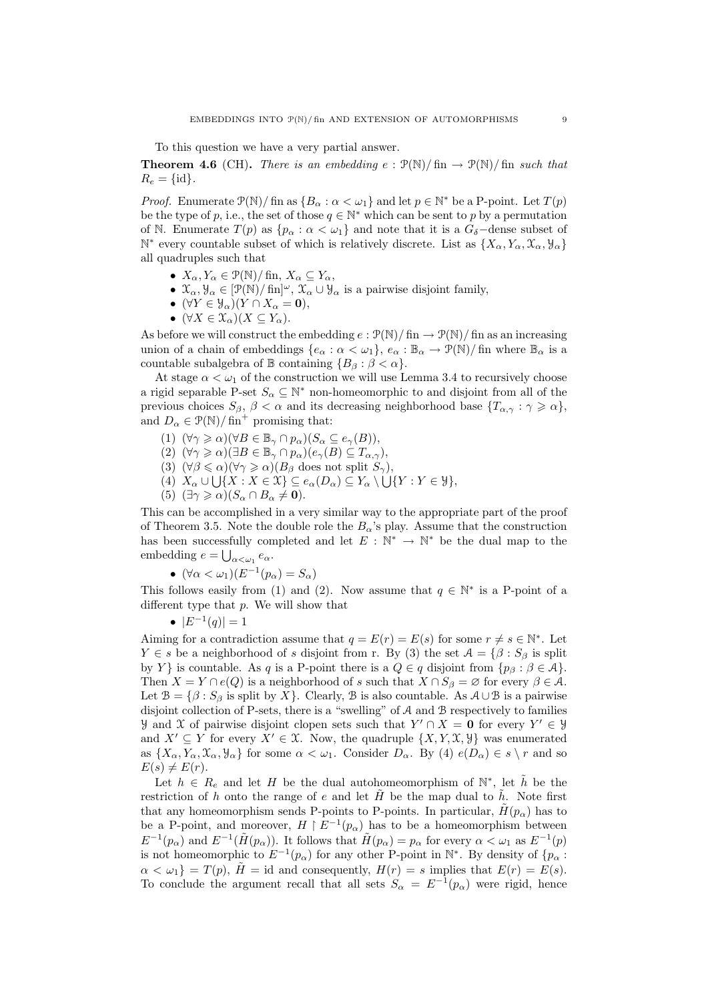To this question we have a very partial answer.

**Theorem 4.6** (CH). There is an embedding e:  $\mathcal{P}(\mathbb{N})$  (fin  $\rightarrow \mathcal{P}(\mathbb{N})$ ) fin such that  $R_e = \{id\}.$ 

*Proof.* Enumerate  $\mathcal{P}(\mathbb{N})$  fin as  $\{B_{\alpha} : \alpha < \omega_1\}$  and let  $p \in \mathbb{N}^*$  be a P-point. Let  $T(p)$ be the type of p, i.e., the set of those  $q \in \mathbb{N}^*$  which can be sent to p by a permutation of N. Enumerate  $T(p)$  as  $\{p_{\alpha} : \alpha < \omega_1\}$  and note that it is a  $G_{\delta}$ -dense subset of  $\mathbb{N}^*$  every countable subset of which is relatively discrete. List as  $\{X_\alpha, Y_\alpha, \mathcal{X}_\alpha, \mathcal{Y}_\alpha\}$ all quadruples such that

- $X_{\alpha}, Y_{\alpha} \in \mathcal{P}(\mathbb{N})/\lim, X_{\alpha} \subseteq Y_{\alpha},$
- $\mathcal{X}_{\alpha}, \mathcal{Y}_{\alpha} \in [\mathcal{P}(\mathbb{N})/\operatorname{fin}]^{\omega}, \mathcal{X}_{\alpha} \cup \mathcal{Y}_{\alpha}$  is a pairwise disjoint family,
- $(\forall Y \in \mathcal{Y}_{\alpha})(Y \cap X_{\alpha} = 0),$
- $(\forall X \in \mathfrak{X}_{\alpha})(X \subseteq Y_{\alpha}).$

As before we will construct the embedding  $e : \mathcal{P}(\mathbb{N})/\text{fin} \to \mathcal{P}(\mathbb{N})/\text{fin}$  as an increasing union of a chain of embeddings  $\{e_\alpha : \alpha < \omega_1\}$ ,  $e_\alpha : \mathbb{B}_\alpha \to \mathcal{P}(\mathbb{N})$  fin where  $\mathbb{B}_\alpha$  is a countable subalgebra of  $\mathbb B$  containing  $\{B_\beta : \beta < \alpha\}.$ 

At stage  $\alpha < \omega_1$  of the construction we will use Lemma 3.4 to recursively choose a rigid separable P-set  $S_{\alpha} \subseteq \mathbb{N}^*$  non-homeomorphic to and disjoint from all of the previous choices  $S_{\beta}$ ,  $\beta < \alpha$  and its decreasing neighborhood base  $\{T_{\alpha,\gamma} : \gamma \geqslant \alpha\}$ , and  $D_{\alpha} \in \mathcal{P}(\mathbb{N})/\text{fin}^+$  promising that:

- (1)  $(\forall \gamma \geq \alpha)(\forall B \in \mathbb{B}_{\gamma} \cap p_{\alpha})(S_{\alpha} \subseteq e_{\gamma}(B)),$
- (2)  $(\forall \gamma \geq \alpha)(\exists B \in \mathbb{B}_{\gamma} \cap p_{\alpha})(e_{\gamma}(B) \subseteq T_{\alpha,\gamma}),$
- (3)  $(\forall \beta \leq \alpha)(\forall \gamma \geq \alpha)(B_{\beta} \text{ does not split } S_{\gamma}),$
- (4)  $X_{\alpha} \cup \bigcup \{X : X \in \mathfrak{X}\}\subseteq e_{\alpha}(D_{\alpha}) \subseteq Y_{\alpha} \setminus \bigcup \{Y : Y \in \mathcal{Y}\},\$
- (5)  $(\exists \gamma \geq \alpha)(S_\alpha \cap B_\alpha \neq \mathbf{0}).$

This can be accomplished in a very similar way to the appropriate part of the proof of Theorem 3.5. Note the double role the  $B_{\alpha}$ 's play. Assume that the construction has been successfully completed and let  $E: \mathbb{N}^* \to \mathbb{N}^*$  be the dual map to the embedding  $e = \bigcup_{\alpha < \omega_1} e_\alpha$ .

•  $(\forall \alpha < \omega_1)(E^{-1}(p_\alpha) = S_\alpha)$ 

This follows easily from (1) and (2). Now assume that  $q \in \mathbb{N}^*$  is a P-point of a different type that  $p$ . We will show that

$$
\bullet \ |E^{-1}(q)| = 1
$$

Aiming for a contradiction assume that  $q = E(r) = E(s)$  for some  $r \neq s \in \mathbb{N}^*$ . Let  $Y \in s$  be a neighborhood of s disjoint from r. By (3) the set  $\mathcal{A} = \{ \beta : S_{\beta} \text{ is split}\}$ by Y } is countable. As q is a P-point there is a  $Q \in q$  disjoint from  $\{p_\beta : \beta \in A\}$ . Then  $X = Y \cap e(Q)$  is a neighborhood of s such that  $X \cap S_\beta = \varnothing$  for every  $\beta \in A$ . Let  $\mathcal{B} = \{\beta : S_{\beta} \text{ is split by } X\}.$  Clearly,  $\mathcal{B}$  is also countable. As  $\mathcal{A} \cup \mathcal{B}$  is a pairwise disjoint collection of P-sets, there is a "swelling" of A and B respectively to families y and X of pairwise disjoint clopen sets such that  $Y' \cap X = 0$  for every  $Y' \in Y$ and  $X' \subseteq Y$  for every  $X' \in \mathfrak{X}$ . Now, the quadruple  $\{X, Y, \mathfrak{X}, \mathfrak{Y}\}\)$  was enumerated as  $\{X_\alpha, Y_\alpha, \mathfrak{X}_\alpha, \mathfrak{Y}_\alpha\}$  for some  $\alpha < \omega_1$ . Consider  $D_\alpha$ . By (4)  $e(D_\alpha) \in s \setminus r$  and so  $E(s) \neq E(r)$ .

Let  $h \in R_e$  and let H be the dual autohomeomorphism of  $\mathbb{N}^*$ , let  $\tilde{h}$  be the restriction of h onto the range of e and let H be the map dual to h. Note first that any homeomorphism sends P-points to P-points. In particular,  $\tilde{H}(p_{\alpha})$  has to be a P-point, and moreover,  $H \upharpoonright E^{-1}(p_\alpha)$  has to be a homeomorphism between  $E^{-1}(p_\alpha)$  and  $E^{-1}(\tilde{H}(p_\alpha))$ . It follows that  $\tilde{H}(p_\alpha) = p_\alpha$  for every  $\alpha < \omega_1$  as  $E^{-1}(p)$ is not homeomorphic to  $E^{-1}(p_\alpha)$  for any other P-point in  $\mathbb{N}^*$ . By density of  $\{p_\alpha\}$ :  $\alpha < \omega_1$ } = T(p),  $\tilde{H}$  = id and consequently,  $H(r) = s$  implies that  $E(r) = E(s)$ . To conclude the argument recall that all sets  $S_{\alpha} = E^{-1}(p_{\alpha})$  were rigid, hence